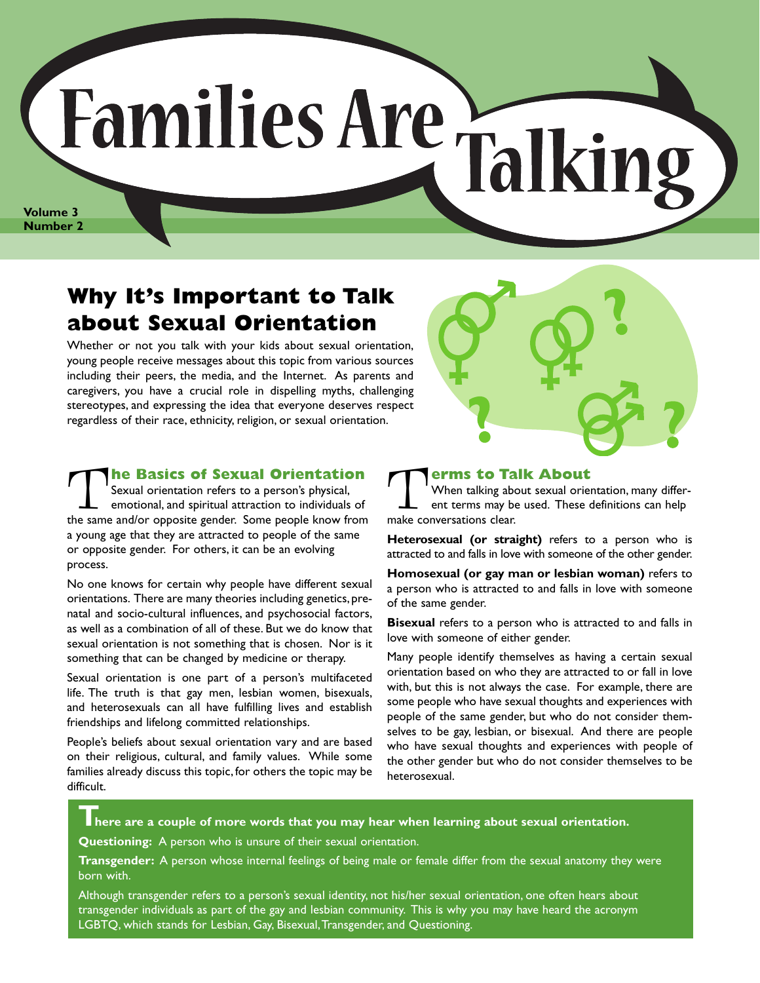# (Families Are-Tal **Volume 3**

**Number 2**

### **Why It's Important to Talk about Sexual Orientation**

Whether or not you talk with your kids about sexual orientation, young people receive messages about this topic from various sources including their peers, the media, and the Internet. As parents and caregivers, you have a crucial role in dispelling myths, challenging stereotypes, and expressing the idea that everyone deserves respect regardless of their race, ethnicity, religion, or sexual orientation.

T**he Basics of Sexual Orientation** Sexual orientation refers to a person's physical, emotional, and spiritual attraction to individuals of the same and/or opposite gender. Some people know from a young age that they are attracted to people of the same or opposite gender. For others, it can be an evolving process.

No one knows for certain why people have different sexual orientations. There are many theories including genetics, prenatal and socio-cultural influences, and psychosocial factors, as well as a combination of all of these. But we do know that sexual orientation is not something that is chosen. Nor is it something that can be changed by medicine or therapy.

Sexual orientation is one part of a person's multifaceted life. The truth is that gay men, lesbian women, bisexuals, and heterosexuals can all have fulfilling lives and establish friendships and lifelong committed relationships.

People's beliefs about sexual orientation vary and are based on their religious, cultural, and family values. While some families already discuss this topic, for others the topic may be difficult.



**The Street Serverse Serverse Serverse Serverse Conversations clear**<br>
The Serverse Serverse Conversations clear When talking about sexual orientation, many different terms may be used. These definitions can help make conversations clear.

**Heterosexual (or straight)** refers to a person who is attracted to and falls in love with someone of the other gender.

**Homosexual (or gay man or lesbian woman)** refers to a person who is attracted to and falls in love with someone of the same gender.

**Bisexual** refers to a person who is attracted to and falls in love with someone of either gender.

Many people identify themselves as having a certain sexual orientation based on who they are attracted to or fall in love with, but this is not always the case. For example, there are some people who have sexual thoughts and experiences with people of the same gender, but who do not consider themselves to be gay, lesbian, or bisexual. And there are people who have sexual thoughts and experiences with people of the other gender but who do not consider themselves to be heterosexual.

**There are a couple of more words that you may hear when learning about sexual orientation.**

**Questioning:** A person who is unsure of their sexual orientation.

**Transgender:** A person whose internal feelings of being male or female differ from the sexual anatomy they were born with.

Although transgender refers to a person's sexual identity, not his/her sexual orientation, one often hears about transgender individuals as part of the gay and lesbian community. This is why you may have heard the acronym LGBTQ, which stands for Lesbian, Gay, Bisexual, Transgender, and Questioning.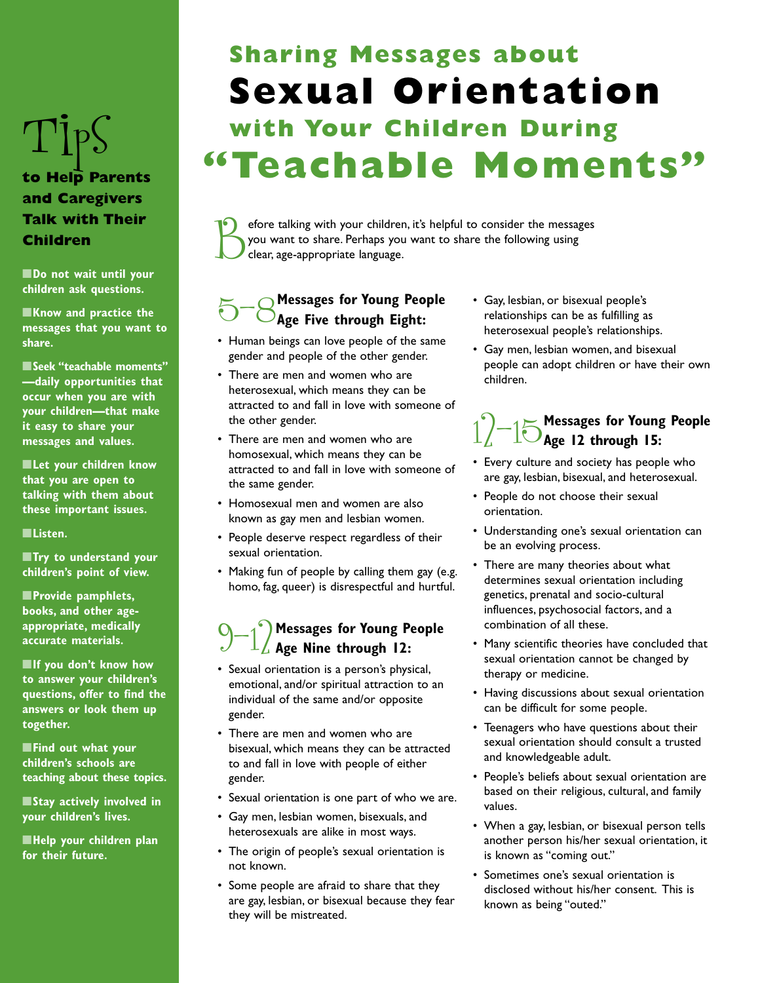### Tips **to Help Parents and Caregivers Talk with Their**

**Children**

■**Do not wait until your children ask questions.**

■**Know and practice the messages that you want to share.**

■**Seek "teachable moments" —daily opportunities that occur when you are with your children—that make it easy to share your messages and values.**

■**Let your children know that you are open to talking with them about these important issues.**

■**Listen.**

■**Try to understand your children's point of view.**

■**Provide pamphlets, books, and other ageappropriate, medically accurate materials.**

■**If you don't know how to answer your children's questions, offer to find the answers or look them up together.**

■**Find out what your children's schools are teaching about these topics.**

■**Stay actively involved in your children's lives.**

■**Help your children plan for their future.**

### **Sharing Messages about Sexual Orientation with Your Children During "Teachable Moments"**

efore talking with your children, it's helpful to consider the messages you want to share. Perhaps you want to share the following using clear, age-appropriate language.

## 5-8**Messages for Young People Age Five through Eight:**

- Human beings can love people of the same gender and people of the other gender.
- There are men and women who are heterosexual, which means they can be attracted to and fall in love with someone of the other gender.
- There are men and women who are homosexual, which means they can be attracted to and fall in love with someone of the same gender.
- Homosexual men and women are also known as gay men and lesbian women.
- People deserve respect regardless of their sexual orientation.
- Making fun of people by calling them gay (e.g. homo, fag, queer) is disrespectful and hurtful.

## 9-12 **Messages for Young People Age Nine through 12:**

- Sexual orientation is a person's physical, emotional, and/or spiritual attraction to an individual of the same and/or opposite gender.
- There are men and women who are bisexual, which means they can be attracted to and fall in love with people of either gender.
- Sexual orientation is one part of who we are.
- Gay men, lesbian women, bisexuals, and heterosexuals are alike in most ways.
- The origin of people's sexual orientation is not known.
- Some people are afraid to share that they are gay, lesbian, or bisexual because they fear they will be mistreated.
- Gay, lesbian, or bisexual people's relationships can be as fulfilling as heterosexual people's relationships.
- Gay men, lesbian women, and bisexual people can adopt children or have their own children.

## 12-15**Messages for Young People Age 12 through 15:**

- Every culture and society has people who are gay, lesbian, bisexual, and heterosexual.
- People do not choose their sexual orientation.
- Understanding one's sexual orientation can be an evolving process.
- There are many theories about what determines sexual orientation including genetics, prenatal and socio-cultural influences, psychosocial factors, and a combination of all these.
- Many scientific theories have concluded that sexual orientation cannot be changed by therapy or medicine.
- Having discussions about sexual orientation can be difficult for some people.
- Teenagers who have questions about their sexual orientation should consult a trusted and knowledgeable adult.
- People's beliefs about sexual orientation are based on their religious, cultural, and family values.
- When a gay, lesbian, or bisexual person tells another person his/her sexual orientation, it is known as "coming out."
- Sometimes one's sexual orientation is disclosed without his/her consent. This is known as being "outed."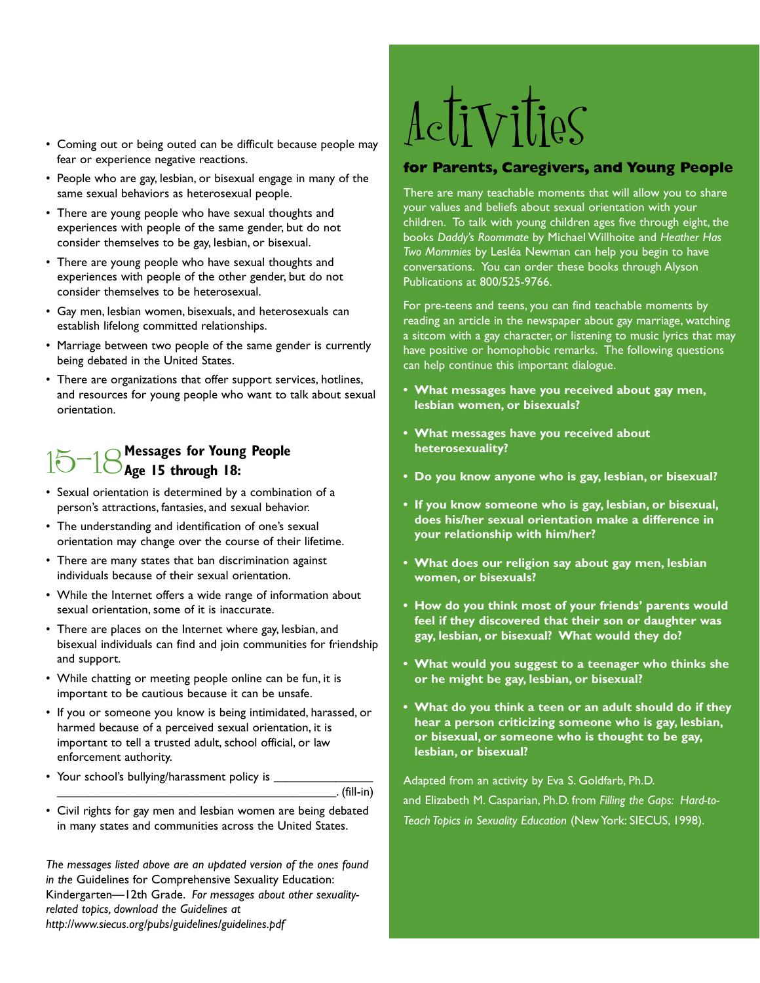- Coming out or being outed can be difficult because people may fear or experience negative reactions.
- People who are gay, lesbian, or bisexual engage in many of the same sexual behaviors as heterosexual people.
- There are young people who have sexual thoughts and experiences with people of the same gender, but do not consider themselves to be gay, lesbian, or bisexual.
- There are young people who have sexual thoughts and experiences with people of the other gender, but do not consider themselves to be heterosexual.
- Gay men, lesbian women, bisexuals, and heterosexuals can establish lifelong committed relationships.
- Marriage between two people of the same gender is currently being debated in the United States.
- There are organizations that offer support services, hotlines, and resources for young people who want to talk about sexual orientation.

## 15-18**Messages for Young People Age 15 through 18:**

- Sexual orientation is determined by a combination of a person's attractions, fantasies, and sexual behavior.
- The understanding and identification of one's sexual orientation may change over the course of their lifetime.
- There are many states that ban discrimination against individuals because of their sexual orientation.
- While the Internet offers a wide range of information about sexual orientation, some of it is inaccurate.
- There are places on the Internet where gay, lesbian, and bisexual individuals can find and join communities for friendship and support.
- While chatting or meeting people online can be fun, it is important to be cautious because it can be unsafe.
- If you or someone you know is being intimidated, harassed, or harmed because of a perceived sexual orientation, it is important to tell a trusted adult, school official, or law enforcement authority.
- Your school's bullying/harassment policy is \_

\_\_\_\_\_\_\_\_\_\_\_\_\_\_\_\_\_\_\_\_\_\_\_\_\_\_\_\_\_\_\_\_\_\_\_\_\_\_\_\_\_\_\_\_\_. (fill-in)

• Civil rights for gay men and lesbian women are being debated in many states and communities across the United States.

*The messages listed above are an updated version of the ones found in the* Guidelines for Comprehensive Sexuality Education: Kindergarten—12th Grade. *For messages about other sexualityrelated topics, download the Guidelines at http://www.siecus.org/pubs/guidelines/guidelines.pdf*

# Activities

#### **for Parents, Caregivers, and Young People**

There are many teachable moments that will allow you to share your values and beliefs about sexual orientation with your children. To talk with young children ages five through eight, the books *Daddy's Roommate* by Michael Willhoite and *Heather Has Two Mommies* by Lesléa Newman can help you begin to have conversations. You can order these books through Alyson Publications at 800/525-9766.

For pre-teens and teens, you can find teachable moments by reading an article in the newspaper about gay marriage, watching a sitcom with a gay character, or listening to music lyrics that may have positive or homophobic remarks. The following questions can help continue this important dialogue.

- **• What messages have you received about gay men, lesbian women, or bisexuals?**
- **• What messages have you received about heterosexuality?**
- **• Do you know anyone who is gay, lesbian, or bisexual?**
- **• If you know someone who is gay, lesbian, or bisexual, does his/her sexual orientation make a difference in your relationship with him/her?**
- **• What does our religion say about gay men, lesbian women, or bisexuals?**
- **How do you think most of your friends' parents would feel if they discovered that their son or daughter was gay, lesbian, or bisexual? What would they do?**
- **• What would you suggest to a teenager who thinks she or he might be gay, lesbian, or bisexual?**
- **• What do you think a teen or an adult should do if they hear a person criticizing someone who is gay, lesbian, or bisexual, or someone who is thought to be gay, lesbian, or bisexual?**

Adapted from an activity by Eva S. Goldfarb, Ph.D. and Elizabeth M. Casparian, Ph.D. from *Filling the Gaps: Hard-to-Teach Topics in Sexuality Education* (New York: SIECUS, 1998).